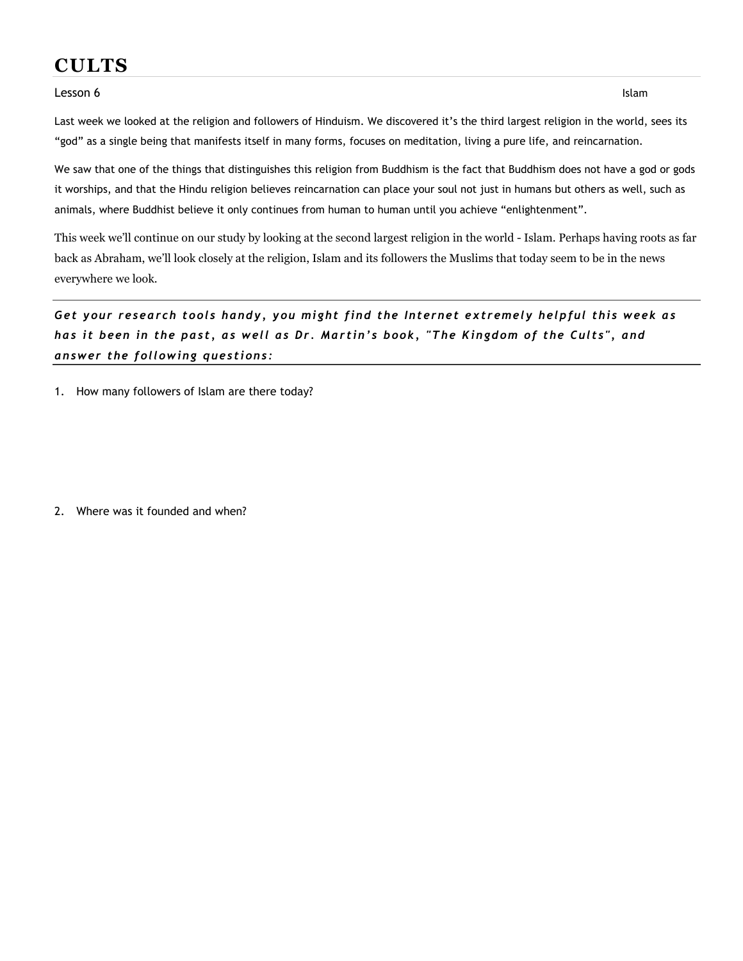## CULTS

## Lesson 6 w/answers Islam and the United States Islam and the United States Islam and the United States Islam and the United States Islam and the United States Islam and the United States Islam and the United States Islam a

Last week we looked at the religion and followers of Hinduism. We discovered it's the third largest religion in the world, sees its "god" as a single being that manifests itself in many forms, focuses on meditation, living a pure life, and reincarnation.

We saw that one of the things that distinguishes this religion from Buddhism is the fact that Buddhism does not have a god or gods it worships, and that the Hindu religion believes reincarnation can place your soul not just in humans but others as well, such as animals, where Buddhist believe it only continues from human to human until you achieve "enlightenment".

This week we'll continue on our study by looking at the second largest religion in the world - Islam. Perhaps having roots as far back as Abraham, we'll look closely at the religion, Islam and its followers the Muslims that today seem to be in the news everywhere we look.

## Get your research tools handy, you might find the Internet extremely helpful this week as has it been in the past, as well as Dr. Martin's book, "The Kingdom of the Cults", and answer the following questions:

1. How many followers of Islam are there today?

2. Where was it founded and when?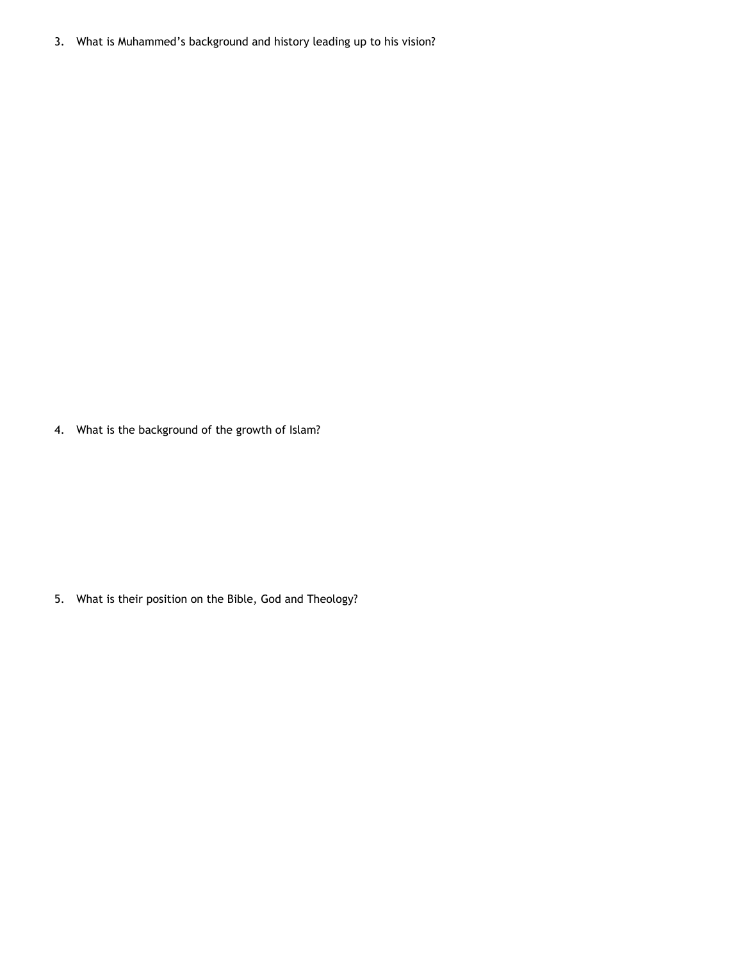3. What is Muhammed's background and history leading up to his vision?

4. What is the background of the growth of Islam?

5. What is their position on the Bible, God and Theology?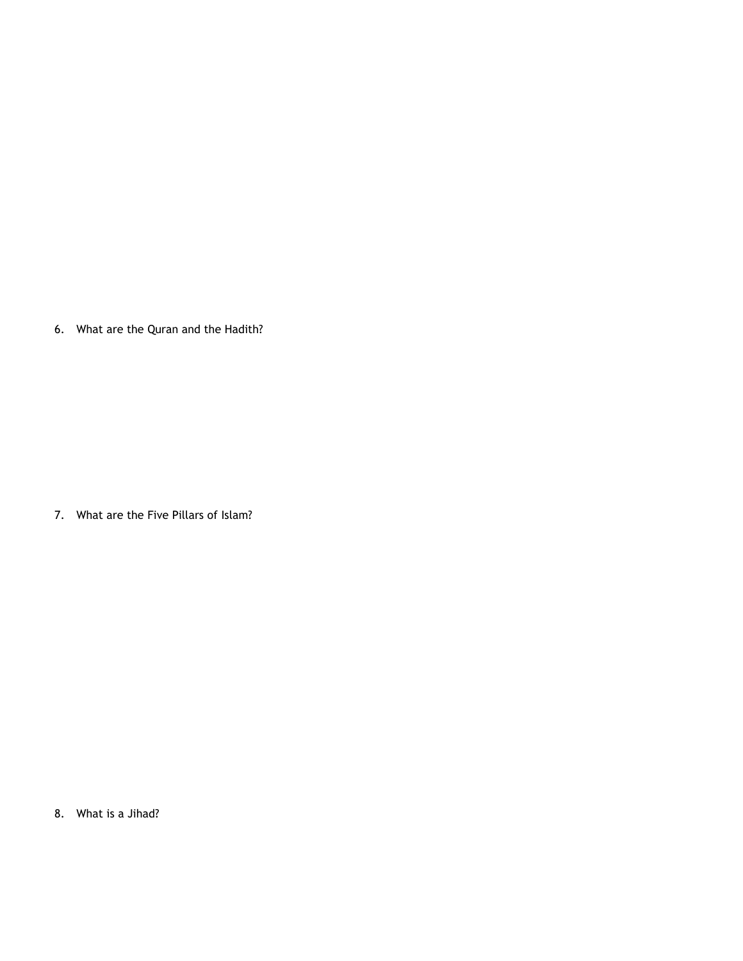6. What are the Quran and the Hadith?

7. What are the Five Pillars of Islam?

8. What is a Jihad?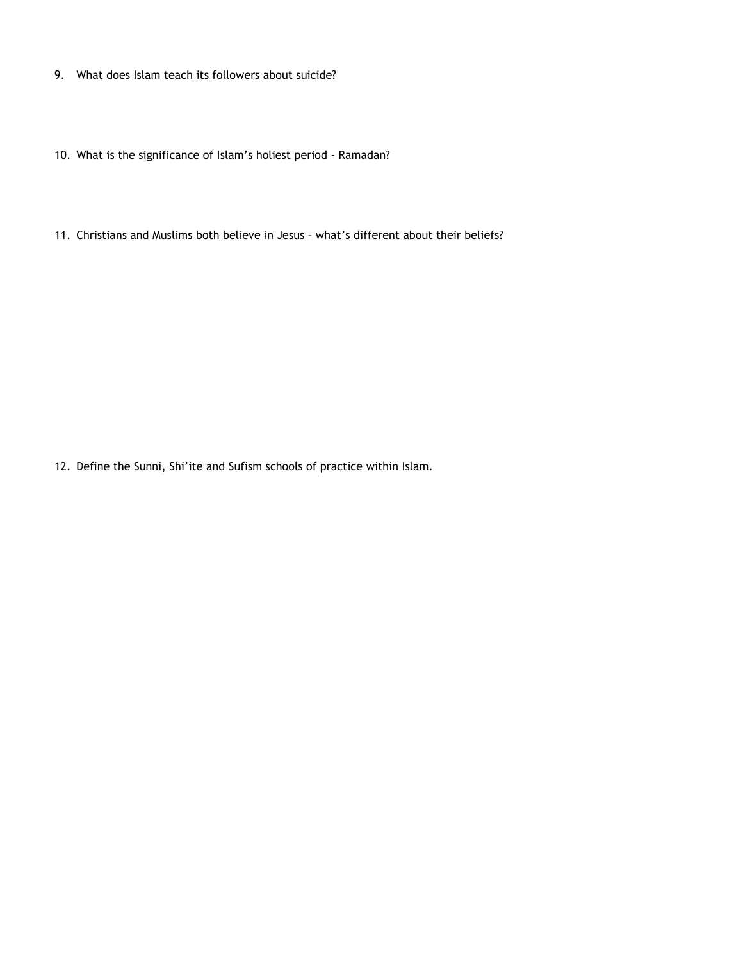- 9. What does Islam teach its followers about suicide?
- 10. What is the significance of Islam's holiest period Ramadan?
- 11. Christians and Muslims both believe in Jesus what's different about their beliefs?

12. Define the Sunni, Shi'ite and Sufism schools of practice within Islam.